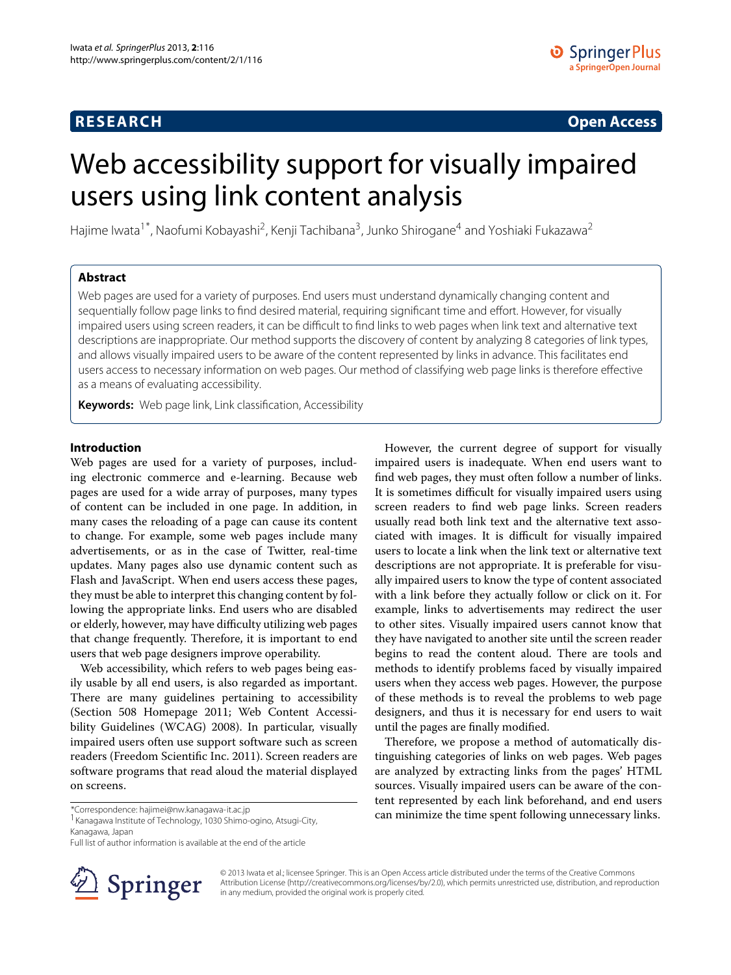## **RESEARCH Open Access**

# Web accessibility support for visually impaired users using link content analysis

Hajime Iwata<sup>1\*</sup>, Naofumi Kobayashi<sup>2</sup>, Kenji Tachibana<sup>3</sup>, Junko Shirogane<sup>4</sup> and Yoshiaki Fukazawa<sup>2</sup>

## **Abstract**

Web pages are used for a variety of purposes. End users must understand dynamically changing content and sequentially follow page links to find desired material, requiring significant time and effort. However, for visually impaired users using screen readers, it can be difficult to find links to web pages when link text and alternative text descriptions are inappropriate. Our method supports the discovery of content by analyzing 8 categories of link types, and allows visually impaired users to be aware of the content represented by links in advance. This facilitates end users access to necessary information on web pages. Our method of classifying web page links is therefore effective as a means of evaluating accessibility.

**Keywords:** Web page link, Link classification, Accessibility

#### **Introduction**

Web pages are used for a variety of purposes, including electronic commerce and e-learning. Because web pages are used for a wide array of purposes, many types of content can be included in one page. In addition, in many cases the reloading of a page can cause its content to change. For example, some web pages include many advertisements, or as in the case of Twitter, real-time updates. Many pages also use dynamic content such as Flash and JavaScript. When end users access these pages, they must be able to interpret this changing content by following the appropriate links. End users who are disabled or elderly, however, may have difficulty utilizing web pages that change frequently. Therefore, it is important to end users that web page designers improve operability.

Web accessibility, which refers to web pages being easily usable by all end users, is also regarded as important. There are many guidelines pertaining to accessibility (Section 508 Homepage [2011;](#page-4-0) Web Content Accessibility Guidelines (WCAG) [2008\)](#page-4-1). In particular, visually impaired users often use support software such as screen readers (Freedom Scientific Inc. [2011\)](#page-4-2). Screen readers are software programs that read aloud the material displayed on screens.

\*Correspondence: hajimei@nw.kanagawa-it.ac.jp

Full list of author information is available at the end of the article



However, the current degree of support for visually impaired users is inadequate. When end users want to find web pages, they must often follow a number of links. It is sometimes difficult for visually impaired users using screen readers to find web page links. Screen readers usually read both link text and the alternative text associated with images. It is difficult for visually impaired users to locate a link when the link text or alternative text descriptions are not appropriate. It is preferable for visually impaired users to know the type of content associated with a link before they actually follow or click on it. For example, links to advertisements may redirect the user to other sites. Visually impaired users cannot know that they have navigated to another site until the screen reader begins to read the content aloud. There are tools and methods to identify problems faced by visually impaired users when they access web pages. However, the purpose of these methods is to reveal the problems to web page designers, and thus it is necessary for end users to wait until the pages are finally modified.

Therefore, we propose a method of automatically distinguishing categories of links on web pages. Web pages are analyzed by extracting links from the pages' HTML sources. Visually impaired users can be aware of the content represented by each link beforehand, and end users can minimize the time spent following unnecessary links.

© 2013 Iwata et al.; licensee Springer. This is an Open Access article distributed under the terms of the Creative Commons Attribution License (http://creativecommons.org/licenses/by/2.0), which permits unrestricted use, distribution, and reproduction in any medium, provided the original work is properly cited.

<sup>1</sup>Kanagawa Institute of Technology, 1030 Shimo-ogino, Atsugi-City, Kanagawa, Japan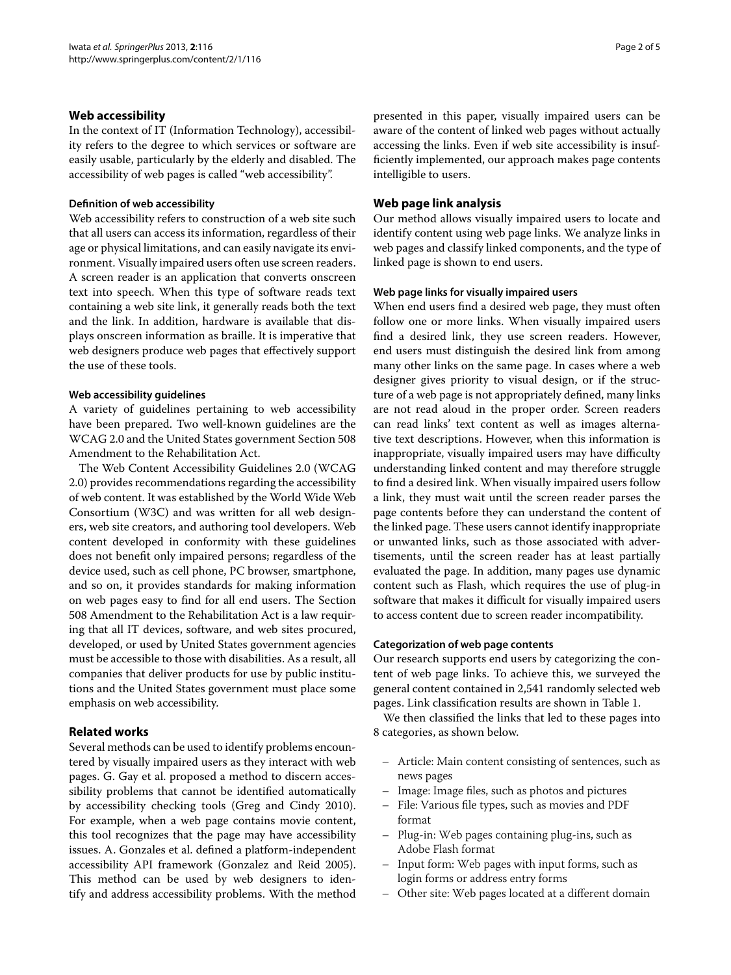#### **Web accessibility**

In the context of IT (Information Technology), accessibility refers to the degree to which services or software are easily usable, particularly by the elderly and disabled. The accessibility of web pages is called "web accessibility".

#### **Definition of web accessibility**

Web accessibility refers to construction of a web site such that all users can access its information, regardless of their age or physical limitations, and can easily navigate its environment. Visually impaired users often use screen readers. A screen reader is an application that converts onscreen text into speech. When this type of software reads text containing a web site link, it generally reads both the text and the link. In addition, hardware is available that displays onscreen information as braille. It is imperative that web designers produce web pages that effectively support the use of these tools.

#### **Web accessibility guidelines**

A variety of guidelines pertaining to web accessibility have been prepared. Two well-known guidelines are the WCAG 2.0 and the United States government Section 508 Amendment to the Rehabilitation Act.

The Web Content Accessibility Guidelines 2.0 (WCAG 2.0) provides recommendations regarding the accessibility of web content. It was established by the World Wide Web Consortium (W3C) and was written for all web designers, web site creators, and authoring tool developers. Web content developed in conformity with these guidelines does not benefit only impaired persons; regardless of the device used, such as cell phone, PC browser, smartphone, and so on, it provides standards for making information on web pages easy to find for all end users. The Section 508 Amendment to the Rehabilitation Act is a law requiring that all IT devices, software, and web sites procured, developed, or used by United States government agencies must be accessible to those with disabilities. As a result, all companies that deliver products for use by public institutions and the United States government must place some emphasis on web accessibility.

## **Related works**

Several methods can be used to identify problems encountered by visually impaired users as they interact with web pages. G. Gay et al. proposed a method to discern accessibility problems that cannot be identified automatically by accessibility checking tools (Greg and Cindy [2010\)](#page-4-3). For example, when a web page contains movie content, this tool recognizes that the page may have accessibility issues. A. Gonzales et al. defined a platform-independent accessibility API framework (Gonzalez and Reid [2005\)](#page-4-4). This method can be used by web designers to identify and address accessibility problems. With the method presented in this paper, visually impaired users can be aware of the content of linked web pages without actually accessing the links. Even if web site accessibility is insufficiently implemented, our approach makes page contents intelligible to users.

## **Web page link analysis**

Our method allows visually impaired users to locate and identify content using web page links. We analyze links in web pages and classify linked components, and the type of linked page is shown to end users.

#### **Web page links for visually impaired users**

When end users find a desired web page, they must often follow one or more links. When visually impaired users find a desired link, they use screen readers. However, end users must distinguish the desired link from among many other links on the same page. In cases where a web designer gives priority to visual design, or if the structure of a web page is not appropriately defined, many links are not read aloud in the proper order. Screen readers can read links' text content as well as images alternative text descriptions. However, when this information is inappropriate, visually impaired users may have difficulty understanding linked content and may therefore struggle to find a desired link. When visually impaired users follow a link, they must wait until the screen reader parses the page contents before they can understand the content of the linked page. These users cannot identify inappropriate or unwanted links, such as those associated with advertisements, until the screen reader has at least partially evaluated the page. In addition, many pages use dynamic content such as Flash, which requires the use of plug-in software that makes it difficult for visually impaired users to access content due to screen reader incompatibility.

#### **Categorization of web page contents**

Our research supports end users by categorizing the content of web page links. To achieve this, we surveyed the general content contained in 2,541 randomly selected web pages. Link classification results are shown in Table [1.](#page-2-0)

We then classified the links that led to these pages into 8 categories, as shown below.

- Article: Main content consisting of sentences, such as news pages
- Image: Image files, such as photos and pictures
- File: Various file types, such as movies and PDF format
- Plug-in: Web pages containing plug-ins, such as Adobe Flash format
- Input form: Web pages with input forms, such as login forms or address entry forms
- Other site: Web pages located at a different domain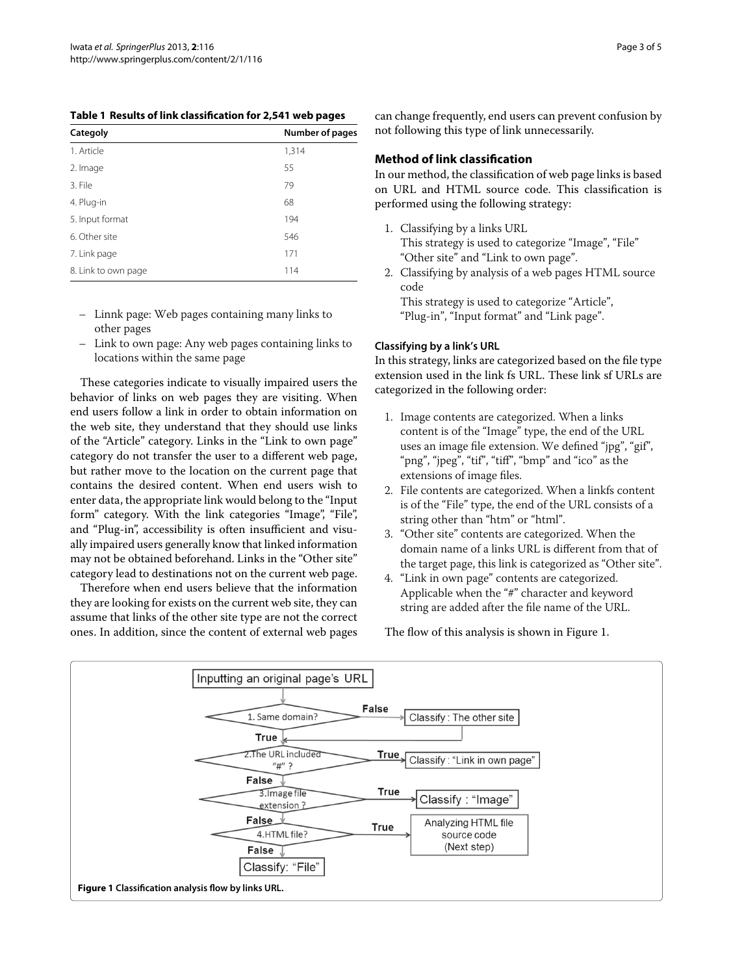**Table 1 Results of link classification for 2,541 web pages**

<span id="page-2-0"></span>

| Categoly            | Number of pages |
|---------------------|-----------------|
| 1. Article          | 1,314           |
| 2. Image            | 55              |
| 3. File             | 79              |
| 4. Plug-in          | 68              |
| 5. Input format     | 194             |
| 6. Other site       | 546             |
| 7. Link page        | 171             |
| 8. Link to own page | 114             |

- Linnk page: Web pages containing many links to other pages
- Link to own page: Any web pages containing links to locations within the same page

These categories indicate to visually impaired users the behavior of links on web pages they are visiting. When end users follow a link in order to obtain information on the web site, they understand that they should use links of the "Article" category. Links in the "Link to own page" category do not transfer the user to a different web page, but rather move to the location on the current page that contains the desired content. When end users wish to enter data, the appropriate link would belong to the "Input form" category. With the link categories "Image", "File", and "Plug-in", accessibility is often insufficient and visually impaired users generally know that linked information may not be obtained beforehand. Links in the "Other site" category lead to destinations not on the current web page.

Therefore when end users believe that the information they are looking for exists on the current web site, they can assume that links of the other site type are not the correct ones. In addition, since the content of external web pages

can change frequently, end users can prevent confusion by not following this type of link unnecessarily.

## **Method of link classification**

In our method, the classification of web page links is based on URL and HTML source code. This classification is performed using the following strategy:

- 1. Classifying by a links URL This strategy is used to categorize "Image", "File" "Other site" and "Link to own page".
- 2. Classifying by analysis of a web pages HTML source code This strategy is used to categorize "Article",

"Plug-in", "Input format" and "Link page".

## **Classifying by a link's URL**

In this strategy, links are categorized based on the file type extension used in the link fs URL. These link sf URLs are categorized in the following order:

- 1. Image contents are categorized. When a links content is of the "Image" type, the end of the URL uses an image file extension. We defined "jpg", "gif", "png", "jpeg", "tif", "tiff", "bmp" and "ico" as the extensions of image files.
- 2. File contents are categorized. When a linkfs content is of the "File" type, the end of the URL consists of a string other than "htm" or "html".
- 3. "Other site" contents are categorized. When the domain name of a links URL is different from that of the target page, this link is categorized as "Other site".
- 4. "Link in own page" contents are categorized. Applicable when the "#" character and keyword string are added after the file name of the URL.

The flow of this analysis is shown in Figure [1.](#page-2-1)

<span id="page-2-1"></span>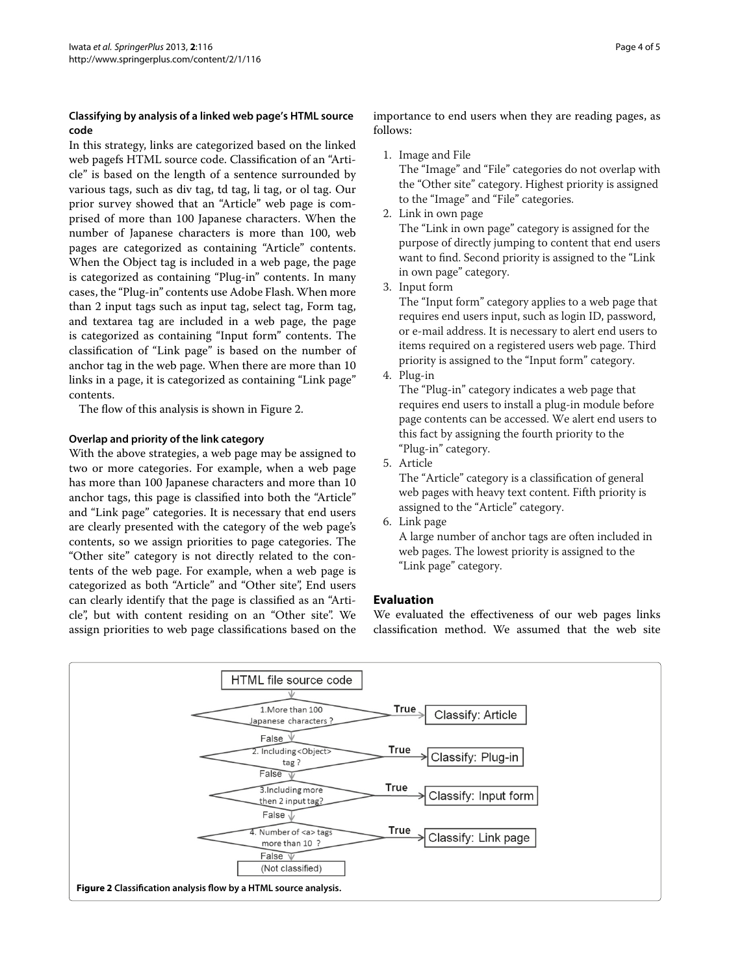## **Classifying by analysis of a linked web page's HTML source code**

In this strategy, links are categorized based on the linked web pagefs HTML source code. Classification of an "Article" is based on the length of a sentence surrounded by various tags, such as div tag, td tag, li tag, or ol tag. Our prior survey showed that an "Article" web page is comprised of more than 100 Japanese characters. When the number of Japanese characters is more than 100, web pages are categorized as containing "Article" contents. When the Object tag is included in a web page, the page is categorized as containing "Plug-in" contents. In many cases, the "Plug-in" contents use Adobe Flash. When more than 2 input tags such as input tag, select tag, Form tag, and textarea tag are included in a web page, the page is categorized as containing "Input form" contents. The classification of "Link page" is based on the number of anchor tag in the web page. When there are more than 10 links in a page, it is categorized as containing "Link page" contents.

The flow of this analysis is shown in Figure [2.](#page-3-0)

## **Overlap and priority of the link category**

With the above strategies, a web page may be assigned to two or more categories. For example, when a web page has more than 100 Japanese characters and more than 10 anchor tags, this page is classified into both the "Article" and "Link page" categories. It is necessary that end users are clearly presented with the category of the web page's contents, so we assign priorities to page categories. The "Other site" category is not directly related to the contents of the web page. For example, when a web page is categorized as both "Article" and "Other site", End users can clearly identify that the page is classified as an "Article", but with content residing on an "Other site". We assign priorities to web page classifications based on the importance to end users when they are reading pages, as follows:

1. Image and File

The "Image" and "File" categories do not overlap with the "Other site" category. Highest priority is assigned to the "Image" and "File" categories.

2. Link in own page

The "Link in own page" category is assigned for the purpose of directly jumping to content that end users want to find. Second priority is assigned to the "Link in own page" category.

3. Input form

The "Input form" category applies to a web page that requires end users input, such as login ID, password, or e-mail address. It is necessary to alert end users to items required on a registered users web page. Third priority is assigned to the "Input form" category.

4. Plug-in

The "Plug-in" category indicates a web page that requires end users to install a plug-in module before page contents can be accessed. We alert end users to this fact by assigning the fourth priority to the "Plug-in" category.

5. Article

The "Article" category is a classification of general web pages with heavy text content. Fifth priority is assigned to the "Article" category.

6. Link page

A large number of anchor tags are often included in web pages. The lowest priority is assigned to the "Link page" category.

## **Evaluation**

We evaluated the effectiveness of our web pages links classification method. We assumed that the web site

<span id="page-3-0"></span>